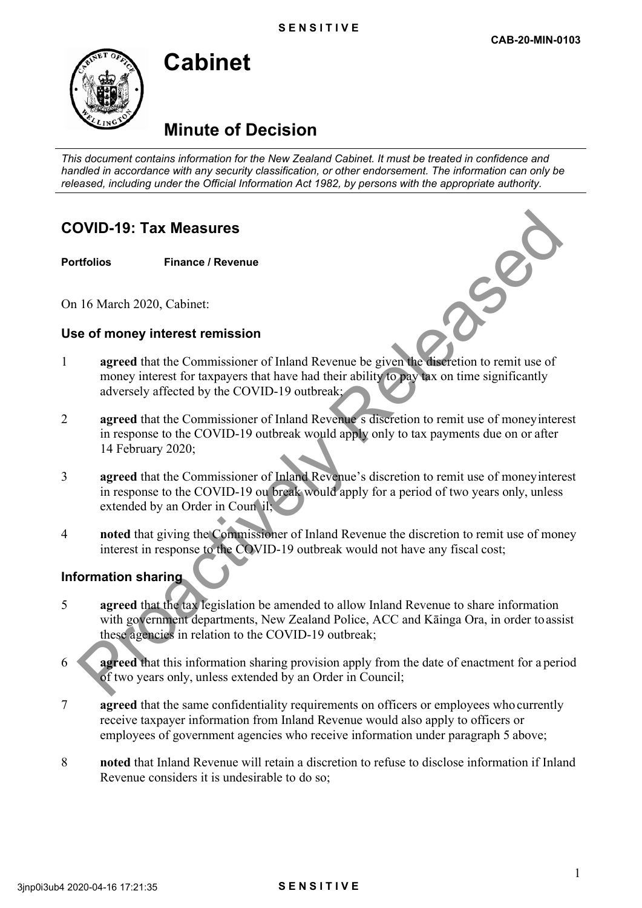# **Minute of Decision**

**Cabinet** 

*This document contains information for the New Zealand Cabinet. It must be treated in confidence and handled in accordance with any security classification, or other endorsement. The information can only be released, including under the Official Information Act 1982, by persons with the appropriate authority.*

## **COVID-19: Tax Measures**

#### **Portfolios Finance / Revenue**

On 16 March 2020, Cabinet:

#### **Use of money interest remission**

- 1 **agreed** that the Commissioner of Inland Revenue be given the discretion to remit use of money interest for taxpayers that have had their ability to pay tax on time significantly adversely affected by the COVID-19 outbreak;
- 2 **agreed** that the Commissioner of Inland Revenue s discretion to remit use of moneyinterest in response to the COVID-19 outbreak would apply only to tax payments due on or after 14 February 2020;
- 3 **agreed** that the Commissioner of Inland Revenue's discretion to remit use of money interest in response to the COVID-19 ou break would apply for a period of two years only, unless extended by an Order in Coun il;
- 4 **noted** that giving the Commissioner of Inland Revenue the discretion to remit use of money interest in response to the COVID-19 outbreak would not have any fiscal cost;

### **Information sharing**

- 5 **agreed** that the tax legislation be amended to allow Inland Revenue to share information with government departments, New Zealand Police, ACC and Kāinga Ora, in order toassist these agencies in relation to the COVID-19 outbreak; **DVID-19: Tax Measures**<br> **Example 16 March 2020, Cabinct:**<br> **e of money interest remissioner** of Inland Revenue be given the distriction to remit use of<br>
money interest for taxpayers that have had their ability for which
- 6 **agreed** that this information sharing provision apply from the date of enactment for a period of two years only, unless extended by an Order in Council;
- 7 **agreed** that the same confidentiality requirements on officers or employees who currently receive taxpayer information from Inland Revenue would also apply to officers or employees of government agencies who receive information under paragraph 5 above;
- 8 **noted** that Inland Revenue will retain a discretion to refuse to disclose information if Inland Revenue considers it is undesirable to do so;